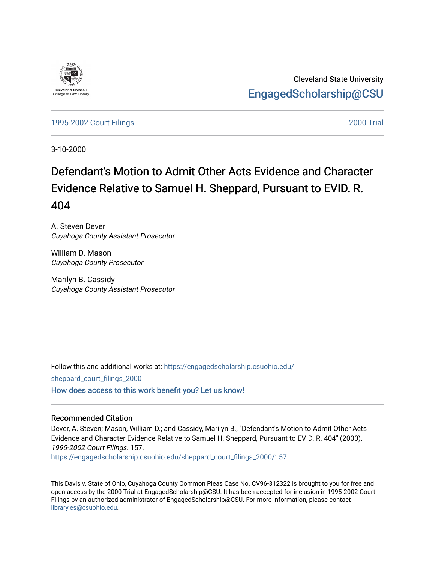

Cleveland State University [EngagedScholarship@CSU](https://engagedscholarship.csuohio.edu/) 

[1995-2002 Court Filings](https://engagedscholarship.csuohio.edu/sheppard_court_filings_2000) [2000 Trial](https://engagedscholarship.csuohio.edu/sheppard_2000_trial) 

3-10-2000

# Defendant's Motion to Admit Other Acts Evidence and Character Evidence Relative to Samuel H. Sheppard, Pursuant to EVID. R. 404

A. Steven Dever Cuyahoga County Assistant Prosecutor

William D. Mason Cuyahoga County Prosecutor

Marilyn B. Cassidy Cuyahoga County Assistant Prosecutor

Follow this and additional works at: [https://engagedscholarship.csuohio.edu/](https://engagedscholarship.csuohio.edu/sheppard_court_filings_2000?utm_source=engagedscholarship.csuohio.edu%2Fsheppard_court_filings_2000%2F157&utm_medium=PDF&utm_campaign=PDFCoverPages) [sheppard\\_court\\_filings\\_2000](https://engagedscholarship.csuohio.edu/sheppard_court_filings_2000?utm_source=engagedscholarship.csuohio.edu%2Fsheppard_court_filings_2000%2F157&utm_medium=PDF&utm_campaign=PDFCoverPages)  [How does access to this work benefit you? Let us know!](http://library.csuohio.edu/engaged/)

## Recommended Citation

Dever, A. Steven; Mason, William D.; and Cassidy, Marilyn B., "Defendant's Motion to Admit Other Acts Evidence and Character Evidence Relative to Samuel H. Sheppard, Pursuant to EVID. R. 404" (2000). 1995-2002 Court Filings. 157. [https://engagedscholarship.csuohio.edu/sheppard\\_court\\_filings\\_2000/157](https://engagedscholarship.csuohio.edu/sheppard_court_filings_2000/157?utm_source=engagedscholarship.csuohio.edu%2Fsheppard_court_filings_2000%2F157&utm_medium=PDF&utm_campaign=PDFCoverPages) 

This Davis v. State of Ohio, Cuyahoga County Common Pleas Case No. CV96-312322 is brought to you for free and open access by the 2000 Trial at EngagedScholarship@CSU. It has been accepted for inclusion in 1995-2002 Court Filings by an authorized administrator of EngagedScholarship@CSU. For more information, please contact [library.es@csuohio.edu.](mailto:library.es@csuohio.edu)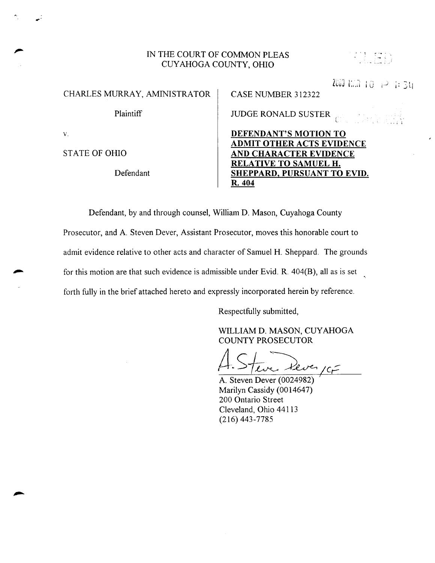# IN THE COURT OF COMMON PLEAS CUYAHOGA COUNTY, OHIO

| ٠ | ٠. |    | ī             | ٠.                  |    | ×.          |
|---|----|----|---------------|---------------------|----|-------------|
|   |    |    | ı.<br>ı<br>i, | ×<br>-              |    | i,          |
|   |    | í, | ł             | ٠<br>٠<br>i,        | ×. |             |
|   |    | ٠  | v.<br>774     | л.<br>Arrest Office | ÷  | $\sim 10^7$ |
|   |    |    |               |                     |    |             |

i 0 + 2 i: 34

 $\mathbb{H}^Y$ 

| CHARLES MURRAY, AMINISTRATOR | CASE NUMBER 312322                                        |  |  |
|------------------------------|-----------------------------------------------------------|--|--|
| Plaintiff                    | <b>JUDGE RONALD SUSTER</b>                                |  |  |
| V.                           | DEFENDANT'S MOTION TO<br><b>ADMIT OTHER ACTS EVIDENCE</b> |  |  |
| <b>STATE OF OHIO</b>         | <b>AND CHARACTER EVIDENCE</b>                             |  |  |
| Defendant                    | RELATIVE TO SAMUEL H.<br>SHEPPARD, PURSUANT TO EVID.      |  |  |

Defendant, by and through counsel, William D. Mason, Cuyahoga County Prosecutor, and A. Steven Dever, Assistant Prosecutor, moves this honorable court to admit evidence relative to other acts and character of Samuel H. Sheppard. The grounds for this motion are that such evidence is admissible under Evid. R.  $404(B)$ , all as is set forth fully in the brief attached hereto and expressly incorporated herein by reference.

Respectfully submitted,

R. 404

WILLIAM D. MASON, CUYAHOGA COUNTY PROSECUTOR

lve Kever  $cc$  $\subset$ 

A. Steven Dever (0024982) Marilyn Cassidy (0014647) 200 Ontario Street Cleveland, Ohio 44113 (216) 443-7785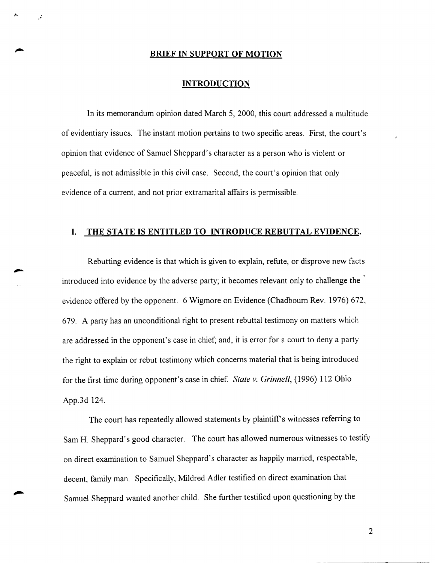#### **BRIEF IN SUPPORT OF MOTION**

#### **INTRODUCTION**

In its memorandum opinion dated March 5, 2000, this court addressed a multitude of evidentiary issues. The instant motion pertains to two specific areas. First, the court's opinion that evidence of Samuel Sheppard's character as a person who is violent or peaceful, is not admissible in this civil case. Second, the court's opinion that only evidence of a current, and not prior extramarital affairs is permissible.

## **I. THE STATE IS ENTITLED TO INTRODUCE REBUTTAL EVIDENCE.**

Rebutting evidence is that which is given to explain, refute, or disprove new facts introduced into evidence by the adverse party; it becomes relevant only to challenge the evidence offered by the opponent. 6 Wigmore on Evidence (Chadbourn Rev. 1976) 672, 679. A party has an unconditional right to present rebuttal testimony on matters which are addressed in the opponent's case in chief; and, it is error for a court to deny a party the right to explain or rebut testimony which concerns material that is being introduced for the first time during opponent's case in chief. *State v. Grinnell,* (1996) 112 Ohio App.3d 124.

The court has repeatedly allowed statements by plaintiff's witnesses referring to Sam H. Sheppard's good character. The court has allowed numerous witnesses to testify on direct examination to Samuel Sheppard's character as happily married, respectable, decent, family man. Specifically, Mildred Adler testified on direct examination that Samuel Sheppard wanted another child. She further testified upon questioning by the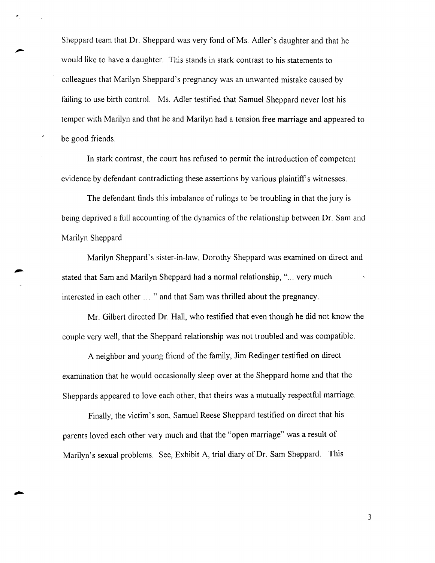Sheppard team that Dr. Sheppard was very fond of Ms. Adler's daughter and that he would like to have a daughter. This stands in stark contrast to his statements to colleagues that Marilyn Sheppard's pregnancy was an unwanted mistake caused by failing to use birth control. Ms. Adler testified that Samuel Sheppard never lost his temper with Marilyn and that he and Marilyn had a tension free marriage and appeared to be good friends.

In stark contrast, the court has refused to permit the introduction of competent evidence by defendant contradicting these assertions by various plaintiff's witnesses.

The defendant finds this imbalance of rulings to be troubling in that the jury is being deprived a full accounting of the dynamics of the relationship between Dr. Sam and Marilyn Sheppard.

Marilyn Sheppard's sister-in-law, Dorothy Sheppard was examined on direct and stated that Sam and Marilyn Sheppard had a normal relationship, "... very much interested in each other ... " and that Sam was thrilled about the pregnancy.

Mr. Gilbert directed Dr. Hall, who testified that even though he did not know the couple very well, that the Sheppard relationship was not troubled and was compatible.

A neighbor and young friend of the family, Jim Redinger testified on direct examination that he would occasionally sleep over at the Sheppard home and that the Sheppards appeared to love each other, that theirs was a mutually respectful marriage.

Finally, the victim's son, Samuel Reese Sheppard testified on direct that his parents loved each other very much and that the "open marriage" was a result of Marilyn's sexual problems. See, Exhibit A, trial diary of Dr. Sam Sheppard. This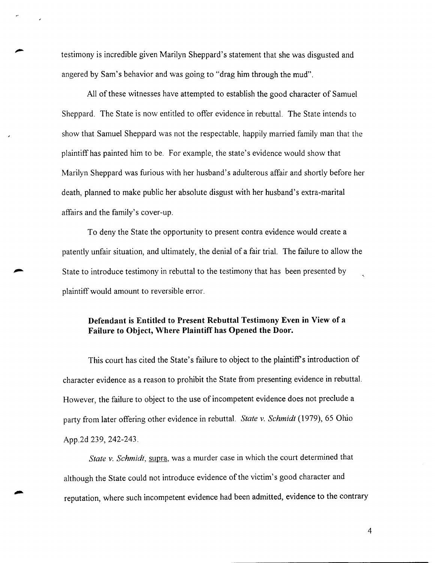testimony is incredible given Marilyn Sheppard's statement that she was disgusted and angered by Sam's behavior and was going to "drag him through the mud".

All of these witnesses have attempted to establish the good character of Samuel Sheppard. The State is now entitled to offer evidence in rebuttal. The State intends to show that Samuel Sheppard was not the respectable, happily married family man that the plaintiff has painted him to be. For example, the state's evidence would show that Marilyn Sheppard was furious with her husband's adulterous affair and shortly before her death, planned to make public her absolute disgust with her husband's extra-marital affairs and the family's cover-up.

To deny the State the opportunity to present contra evidence would create a patently unfair situation, and ultimately, the denial of a fair trial. The failure to allow the State to introduce testimony in rebuttal to the testimony that has been presented by plaintiff would amount to reversible error.

# **Defendant is Entitled to Present Rebuttal Testimony Even in View of a Failure to Object, Where Plaintiff has Opened the Door.**

This court has cited the State's failure to object to the plaintiff's introduction of character evidence as a reason to prohibit the State from presenting evidence in rebuttal. However, the failure to object to the use of incompetent evidence does not preclude a party from later offering other evidence in rebuttal. *State v. Schmidt* (1979), 65 Ohio App.2d 239, 242-243.

*State v. Schmidt,* supra, was a murder case in which the court determined that although the State could not introduce evidence of the victim's good character and reputation, where such incompetent evidence had been admitted, evidence to the contrary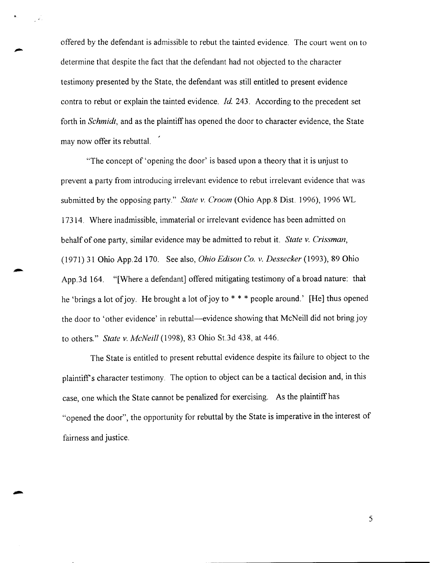offered by the defendant is admissible to rebut the tainted evidence. The court went on to determine that despite the fact that the defendant had not objected to the character testimony presented by the State, the defendant was still entitled to present evidence contra to rebut or explain the tainted evidence. *Id.* 243. According to the precedent set forth in *Schmidt,* and as the plaintiff has opened the door to character evidence, the State may now offer its rebuttal.

"The concept of 'opening the door' is based upon a theory that it is unjust to prevent a party from introducing irrelevant evidence to rebut irrelevant evidence that was submitted by the opposing party." *State v. Croom* (Ohio App.8 Dist. 1996), 1996 WL 17314. Where inadmissible, immaterial or irrelevant evidence has been admitted on behalf of one party, similar evidence may be admitted to rebut it. *State v. Crissman,*  (1971) 31 Ohio App.2d 170. See also, *Ohio Edison Co. v. Dessecker* (1993), 89 Ohio App.3d 164. "[Where a defendant] offered mitigating testimony of a broad nature: that he 'brings a lot of joy. He brought a lot of joy to  $* * *$  people around.' [He] thus opened the door to 'other evidence' in rebuttal-evidence showing that McNeill did not bring joy to others." *State v. McNeill* (1998), 83 Ohio St.3d 438, at 446.

The State is entitled to present rebuttal evidence despite its failure to object to the plaintiff's character testimony. The option to object can be a tactical decision and, in this case, one which the State cannot be penalized for exercising. As the plaintiff has "opened the door", the opportunity for rebuttal by the State is imperative in the interest of fairness and justice.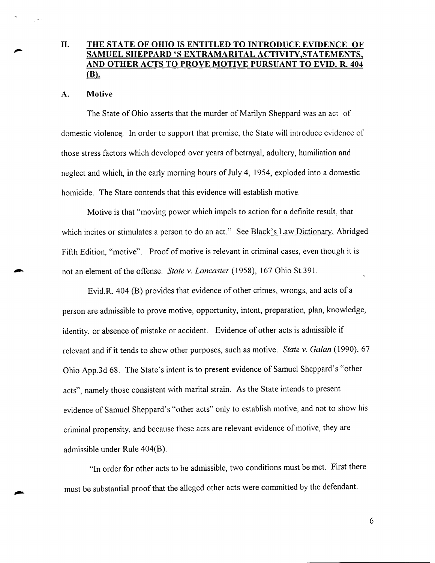# II. THE STATE OF OHIO IS ENTITLED TO INTRODUCE EVIDENCE OF SAMUEL SHEPPARD'S EXTRAMARITAL ACTIVITY.STATEMENTS, AND OTHER ACTS TO PROVE MOTIVE PURSUANT TO EVID. R. 404 (B).

## A. Motive

The State of Ohio asserts that the murder of Marilyn Sheppard was an act of domestic violence. In order to support that premise, the State will introduce evidence of those stress factors which developed over years of betrayal, adultery, humiliation and neglect and which, in the early morning hours of July 4, 1954, exploded into a domestic homicide. The State contends that this evidence will establish motive.

Motive is that "moving power which impels to action for a definite result, that which incites or stimulates a person to do an act." See Black's Law Dictionary, Abridged Fifth Edition, "motive". Proof of motive is relevant in criminal cases, even though it is not an element of the offense. *State v. Lancaster* (1958), 167 Ohio St.391.

Evid.R. 404 (B) provides that evidence of other crimes, wrongs, and acts of a person are admissible to prove motive, opportunity, intent, preparation, plan, knowledge, identity, or absence of mistake or accident. Evidence of other acts is admissible if relevant and if it tends to show other purposes, such as motive. *State v. Galan* (1990), 67 Ohio App.3d 68. The State's intent is to present evidence of Samuel Sheppard's "other acts", namely those consistent with marital strain. As the State intends to present evidence of Samuel Sheppard's "other acts" only to establish motive, and not to show his criminal propensity, and because these acts are relevant evidence of motive, they are admissible under Rule 404(B).

"In order for other acts to be admissible, two conditions must be met. First there must be substantial proof that the alleged other acts were committed by the defendant.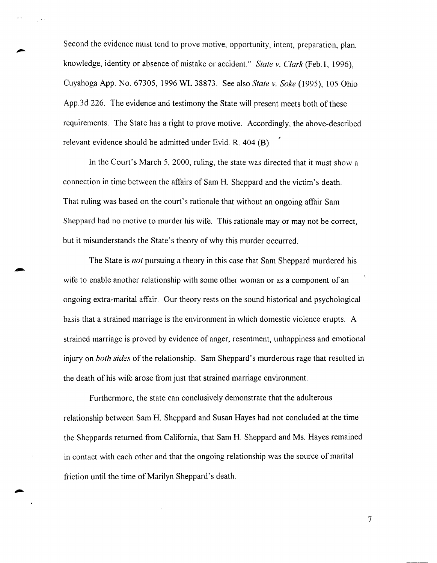Second the evidence must tend to prove motive, opportunity, intent, preparation, plan, knowledge, identity or absence of mistake or accident." *State v. Clark* (Feb. I, 1996), Cuyahoga App. No. 67305, 1996 WL 38873. See also *State v. Sake* (1995), 105 Ohio App.3d 226. The evidence and testimony the State will present meets both of these requirements. The State has a right to prove motive. Accordingly, the above-described relevant evidence should be admitted under Evid. R. 404 (B).

In the Court's March 5, 2000, ruling, the state was directed that it must show a connection in time between the affairs of Sam H. Sheppard and the victim's death. That ruling was based on the court's rationale that without an ongoing affair Sam Sheppard had no motive to murder his wife. This rationale may or may not be correct, but it misunderstands the State's theory of why this murder occurred.

The State is *not* pursuing a theory in this case that Sam Sheppard murdered his wife to enable another relationship with some other woman or as a component of an ongoing extra-marital affair. Our theory rests on the sound historical and psychological basis that a strained marriage is the environment in which domestic violence erupts. A strained marriage is proved by evidence of anger, resentment, unhappiness and emotional injury on *both sides* of the relationship. Sam Sheppard's murderous rage that resulted in the death of his wife arose from just that strained marriage environment.

Furthermore, the state can conclusively demonstrate that the adulterous relationship between Sam H. Sheppard and Susan Hayes had not concluded at the time the Sheppards returned from California, that Sam H. Sheppard and Ms. Hayes remained in contact with each other and that the ongoing relationship was the source of marital friction until the time of Marilyn Sheppard's death.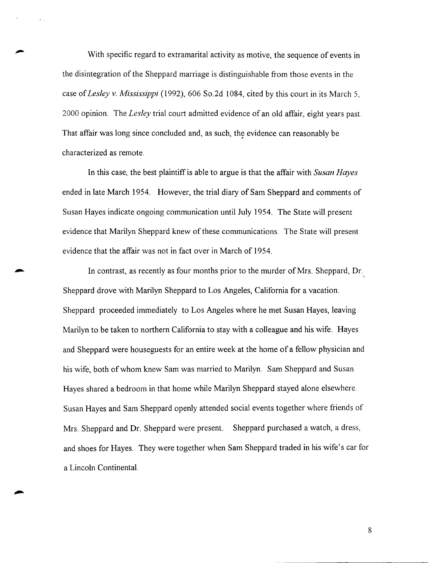With specific regard to extramarital activity as motive, the sequence of events in the disintegration of the Sheppard marriage is distinguishable from those events in the case of *Lesley v. Mississippi* (1992), 606 So.2d 1084, cited by this court in its March 5, 2000 opinion. The *Lesley* trial court admitted evidence of an old affair, eight years past That affair was long since concluded and, as such, the evidence can reasonably be , characterized as remote.

In this case, the best plaintiff is able to argue is that the affair with *Susan Hayes*  ended in late March 1954. However, the trial diary of Sam Sheppard and comments of Susan Hayes indicate ongoing communication until July 1954. The State will present evidence that Marilyn Sheppard knew of these communications. The State will present evidence that the affair was not in fact over in March of 1954.

In contrast, as recently as four months prior to the murder of Mrs. Sheppard, Dr. Sheppard drove with Marilyn Sheppard to Los Angeles, California for a vacation. Sheppard proceeded immediately to Los Angeles where he met Susan Hayes, leaving Marilyn to be taken to northern California to stay with a colleague and his wife. Hayes and Sheppard were houseguests for an entire week at the home of a fellow physician and his wife, both of whom knew Sam was married to Marilyn. Sam Sheppard and Susan Hayes shared a bedroom in that home while Marilyn Sheppard stayed alone elsewhere. Susan Hayes and Sam Sheppard openly attended social events together where friends of Mrs. Sheppard and Dr. Sheppard were present. Sheppard purchased a watch, a dress, and shoes for Hayes. They were together when Sam Sheppard traded in his wife's car for a Lincoln Continental.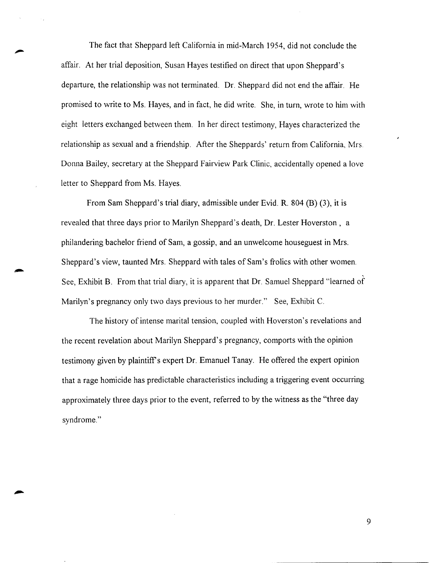The fact that Sheppard left California in mid-March 1954, did not conclude the affair. At her trial deposition, Susan Hayes testified on direct that upon Sheppard's departure, the relationship was not terminated. Dr. Sheppard did not end the affair. He promised to write to Ms. Hayes, and in fact, he did write. She, in tum, wrote to him with eight letters exchanged between them. In her direct testimony, Hayes characterized the relationship as sexual and a friendship. After the Sheppards' return from California, Mrs. Donna Bailey, secretary at the Sheppard Fairview Park Clinic, accidentally opened a love letter to Sheppard from Ms. Hayes.

From Sam Sheppard's trial diary, admissible under Evid. R. 804 (B) (3), it is revealed that three days prior to Marilyn Sheppard's death, Dr. Lester Hoverston, a philandering bachelor friend of Sam, a gossip, and an unwelcome houseguest in Mrs. Sheppard's view, taunted Mrs. Sheppard with tales of Sam's frolics with other women. See, Exhibit B. From that trial diary, it is apparent that Dr. Samuel Sheppard "learned of Marilyn's pregnancy only two days previous to her murder." See, Exhibit C.

The history of intense marital tension, coupled with Hoverston's revelations and the recent revelation about Marilyn Sheppard's pregnancy, comports with the opinion testimony given by plaintiff's expert Dr. Emanuel Tanay. He offered the expert opinion that a rage homicide has predictable characteristics including a triggering event occurring approximately three days prior to the event, referred to by the witness as the "three day syndrome."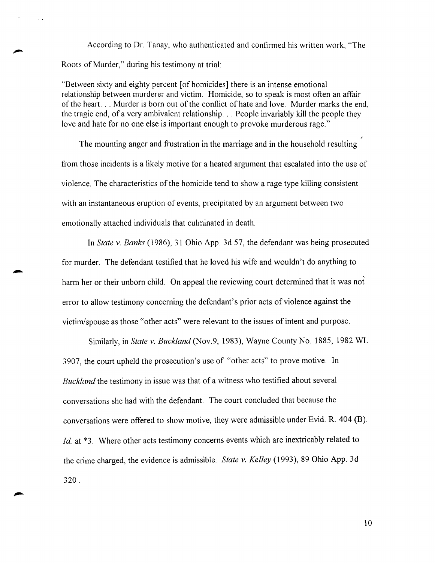According to Dr. Tanay, who authenticated and confirmed his written work, "The Roots of Murder,'' during his testimony at trial:

"Between sixty and eighty percent [of homicides] there is an intense emotional relationship between murderer and victim. Homicide, so to speak is most often an affair of the heart. . . Murder is born out of the conflict of hate and love. Murder marks the end, the tragic end, of a very ambivalent relationship ... People invariably kill the people they love and hate for no one else is important enough to provoke murderous rage."

The mounting anger and frustration in the marriage and in the household resulting from those incidents is a likely motive for a heated argument that escalated into the use of violence. The characteristics of the homicide tend to show a rage type killing consistent with an instantaneous eruption of events, precipitated by an argument between two emotionally attached individuals that culminated in death.

In *State v. Banks* (1986), 31 Ohio App. 3d 57, the defendant was being prosecuted for murder. The defendant testified that he loved his wife and wouldn't do anything to harm her or their unborn child. On appeal the reviewing court determined that it was not error to allow testimony concerning the defendant's prior acts of violence against the victim/spouse as those "other acts" were relevant to the issues of intent and purpose.

Similarly, in *State v. Buckland(Nov.9,* 1983), Wayne County No. 1885, 1982 WL 3907, the court upheld the prosecution's use of "other acts" to prove motive. In *Buckland* the testimony in issue was that of a witness who testified about several conversations she had with the defendant. The court concluded that because the conversations were offered to show motive, they were admissible under Evid. R. 404 (B). *Id.* at \*3. Where other acts testimony concerns events which are inextricably related to the crime charged, the evidence is admissible. *State v. Kelley* (1993), 89 Ohio App. 3d 320.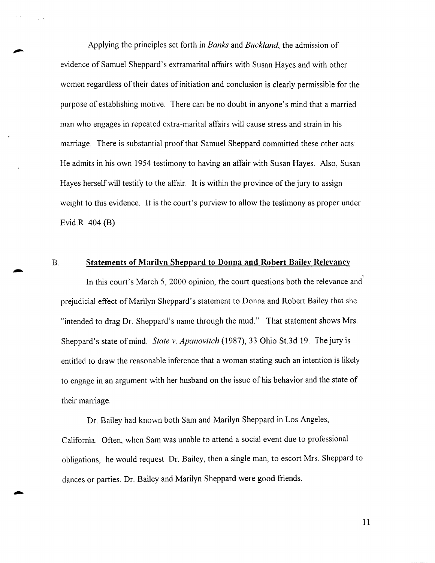Applying the principles set forth in *Banks* and *Buckland,* the admission of evidence of Samuel Sheppard's extramarital affairs with Susan Hayes and with other women regardless of their dates of initiation and conclusion is clearly permissible for the purpose of establishing motive. There can be no doubt in anyone's mind that a married man who engages in repeated extra-marital affairs will cause stress and strain in his marriage. There is substantial proof that Samuel Sheppard committed these other acts: He admits in his own 1954 testimony to having an affair with Susan Hayes. Also, Susan Hayes herself will testify to the affair. It is within the province of the jury to assign weight to this evidence. It is the court's purview to allow the testimony as proper under Evid.R. 404 (B).

## B. **Statements of Marilyn Sheppard to Donna and Robert Bailey Relevancy**

In this court's March 5, 2000 opinion, the court questions both the relevance and prejudicial effect of Marilyn Sheppard's statement to Donna and Robert Bailey that she "intended to drag Dr. Sheppard's name through the mud." That statement shows Mrs. Sheppard's state of mind. *State v. Apanovitch* (1987), 33 Ohio St.3d 19. The jury is entitled to draw the reasonable inference that a woman stating such an intention is likely to engage in an argument with her husband on the issue of his behavior and the state of their marriage.

Dr. Bailey had known both Sam and Marilyn Sheppard in Los Angeles, California. Often, when Sam was unable to attend a social event due to professional obligations, he would request Dr. Bailey, then a single man, to escort Mrs. Sheppard to dances or parties. Dr. Bailey and Marilyn Sheppard were good friends.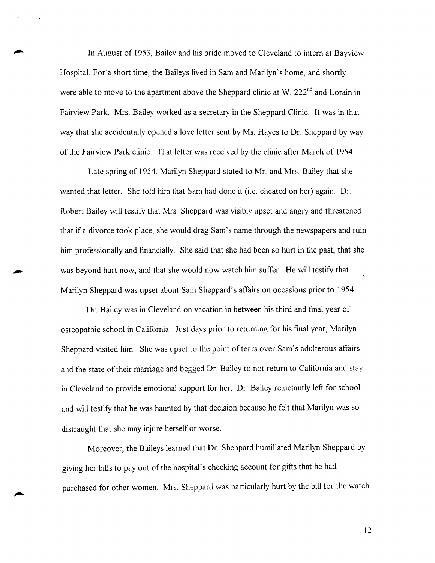In August of 1953, Bailey and his bride moved to Cleveland to intern at Bayview Hospital. For a short time, the Baileys lived in Sam and Marilyn's home, and shortly were able to move to the apartment above the Sheppard clinic at W. 222<sup>nd</sup> and Lorain in Fairview Park. Mrs. Bailey worked as a secretary in the Sheppard Clinic. It was in that way that she accidentally opened a love letter sent by Ms. Hayes to Dr. Sheppard by way of the Fairview Park clinic. That letter was received by the clinic after March of 1954.

Late spring of 1954, Marilyn Sheppard stated to Mr. and Mrs. Bailey that she wanted that letter. She told him that Sam had done it (i.e. cheated on her) again. Dr. Robert Bailey will testify that Mrs. Sheppard was visibly upset and angry and threatened that if a divorce took place, she would drag Sam's name through the newspapers and ruin him professionally and financially. She said that she had been so hurt in the past, that she was beyond hurt now, and that she would now watch him suffer. He will testify that Marilyn Sheppard was upset about Sam Sheppard's affairs on occasions prior to 1954.

Dr. Bailey was in Cleveland on vacation in between his third and final year of osteopathic school in California. Just days prior to returning for his final year, Marilyn Sheppard visited him. She was upset to the point of tears over Sam's adulterous affairs and the state of their marriage and begged Dr. Bailey to not return to California and stay in Cleveland to provide emotional support for her. Dr. Bailey reluctantly left for school and will testify that he was haunted by that decision because he felt that Marilyn was so distraught that she may injure herself or worse.

Moreover, the Baileys learned that Dr. Sheppard humiliated Marilyn Sheppard by giving her bills to pay out of the hospital's checking account for gifts that he had purchased for other women. Mrs. Sheppard was particularly hurt by the bill for the watch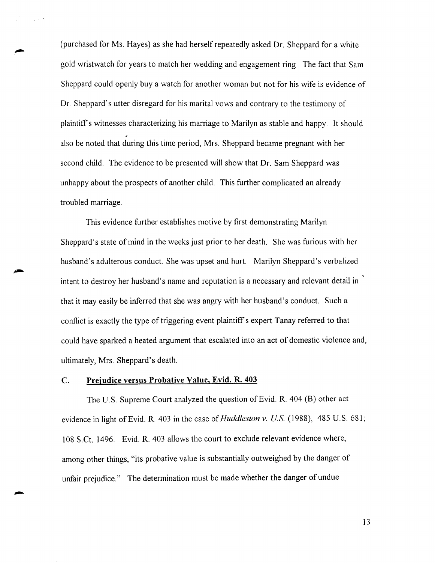(purchased for Ms. Hayes) as she had herselfrepeatedly asked Dr. Sheppard for a white gold wristwatch for years to match her wedding and engagement ring. The fact that Sam Sheppard could openly buy a watch for another woman but not for his wife is evidence of Dr. Sheppard's utter disregard for his marital vows and contrary to the testimony of plaintiff's witnesses characterizing his marriage to Marilyn as stable and happy. It should also be noted that during this time period, Mrs. Sheppard became pregnant with her second child. The evidence to be presented will show that Dr. Sam Sheppard was unhappy about the prospects of another child. This further complicated an already troubled marriage.

This evidence further establishes motive by first demonstrating Marilyn Sheppard's state of mind in the weeks just prior to her death. She was furious with her husband's adulterous conduct. She was upset and hurt. Marilyn Sheppard's verbalized intent to destroy her husband's name and reputation is a necessary and relevant detail in that it may easily be inferred that she was angry with her husband's conduct. Such a conflict is exactly the type of triggering event plaintiff's expert Tanay referred to that could have sparked a heated argument that escalated into an act of domestic violence and, ultimately, Mrs. Sheppard's death.

## **C. Prejudice versus Probative Value, Evid. R. 403**

The U.S. Supreme Court analyzed the question of Evid. R. 404 (B) other act evidence in light of Evid. R. 403 in the case of *Huddleston v. U.S.* (1988), 485 U.S. 681; 108 S.Ct. 1496. Evid. R. 403 allows the court to exclude relevant evidence where, among other things, "its probative value is substantially outweighed by the danger of unfair prejudice." The determination must be made whether the danger of undue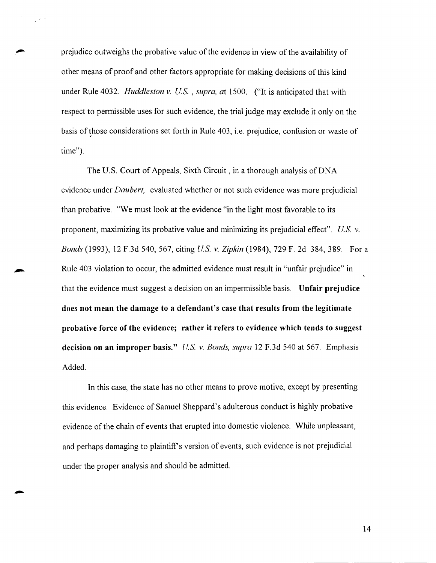prejudice outweighs the probative value of the evidence in view of the availability of other means of proof and other factors appropriate for making decisions of this kind under Rule 4032. *Huddleston v. U.S.* , *supra, at* 1500. ("It is anticipated that with respect to permissible uses for such evidence, the trial judge may exclude it only on the basis of those considerations set forth in Rule 403, i.e. prejudice, confusion or waste of time").

The U.S. Court of Appeals, Sixth Circuit, in a thorough analysis of DNA evidence under *Daubert,* evaluated whether or not such evidence was more prejudicial than probative. "We must look at the evidence "in the light most favorable to its proponent, maximizing its probative value and minimizing its prejudicial effect". *U.S. v. Bonds* (1993), 12 F.3d 540, 567, citing *U.S. v. Zipkin* (1984), 729 F. 2d 384, 389. For a Rule 403 violation to occur, the admitted evidence must result in "unfair prejudice" in that the evidence must suggest a decision on an impermissible basis. Unfair prejudice does not mean the damage to a defendant's case that results from the legitimate probative force of the evidence; rather it refers to evidence which tends to suggest decision on an improper basis." *U.S. v. Bonds, supra* 12 F.3d 540 at 567. Emphasis Added.

In this case, the state has no other means to prove motive, except by presenting this evidence. Evidence of Samuel Sheppard's adulterous conduct is highly probative evidence of the chain of events that erupted into domestic violence. While unpleasant, and perhaps damaging to plaintiff's version of events, such evidence is not prejudicial under the proper analysis and should be admitted.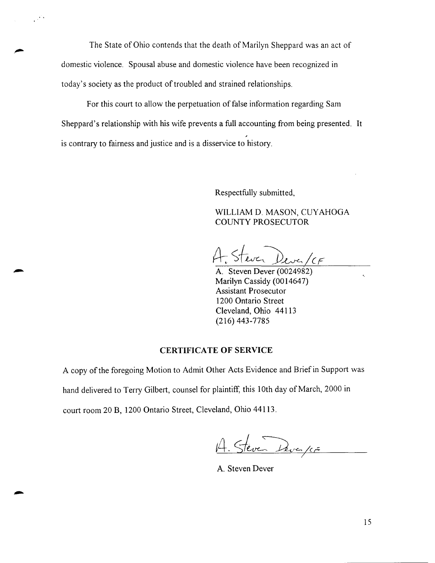The State of Ohio contends that the death of Marilyn Sheppard was an act of domestic violence. Spousal abuse and domestic violence have been recognized in today's society as the product of troubled and strained relationships.

For this court to allow the perpetuation of false information regarding Sam Sheppard's relationship with his wife prevents a full accounting from being presented. It is contrary to fairness and justice and is a disservice to history.

Respectfully submitted,

WILLIAM D. MASON, CUYAHOGA COUNTY PROSECUTOR

Dever/CF

A. Steven Dever (0024982) Marilyn Cassidy (0014647) Assistant Prosecutor 1200 Ontario Street Cleveland, Ohio 44113 (216) 443-7785

## **CERTIFICATE OF SERVICE**

A copy of the foregoing Motion to Admit Other Acts Evidence and Brief in Support was hand delivered to Terry Gilbert, counsel for plaintiff, this 10th day of March, 2000 in court room 20 B, 1200 Ontario Street, Cleveland, Ohio 44113.

A. Steven Dever/CE

A. Steven Dever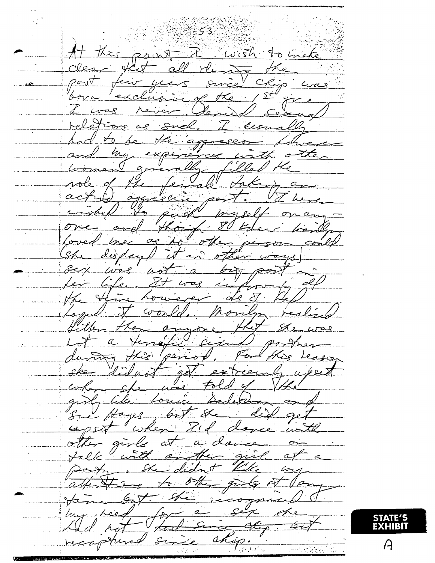$53$ Wish ROLL  $\mathcal{L}$ . $\mathcal{L}$ nake  $\rightarrow$  $\iota$ ত  $\mathcal{C}$  $\sigma$  $4\pi$  $\overline{S}$  $\alpha$ Elsy Ъ  $\alpha$ 0  $\sigma$ Ś  $\partial_{\overline{z}}$ .<br>Iso  $\overline{B}$ Ġ  $\zeta_{\mathcal{O}}$ se exY ب<br>ب  $\mathscr{L}_{\mathscr{C}}$  $\overline{\mathcal{L}}$  $\mathcal{C}_{2}$  $\omega$ .<br>ت  $\overline{\nabla}$  $d_{\boldsymbol{\beta}}$ ىم 

STATE'S<br>EXHIBIT

 $\mathcal{A}$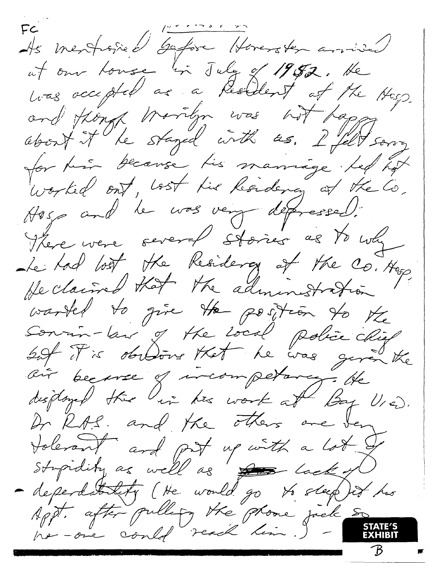FC mentioned bator Horenoten annived at our touse in July of 1952. He has occupted as a Resident of the Hesp and though thorriton was not tagged worked ont, lost his hardeney at the Co. Hosp and le vos very dépressed. Le Lod both the Residency of the Co. Hop He claimed that the administration warted to give the position to the Dr RAS, and the others are ben tolerant and put up with a lot & dependatatif (He would go to steep it his<br>Appt. after publicy the prome just so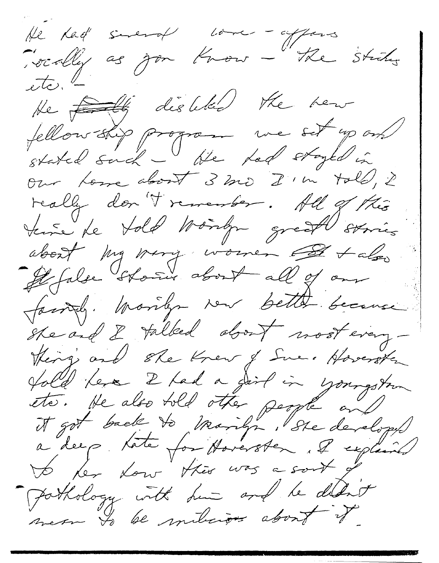He had sineral love - affairs<br>socially as you know - the strikes  $etc.$ He <del>fall</del> distributed the hear<br>fellowship program we set up on our tome about 3 mo I'm told, 2 really don't remember. All of this<br>tense te told Montgo great sorries about my miry women of talgo Hofalse stores about all of our family. Monlyn ver better because Steard 8 talked about nost every-<br>Things and ste Knew of Sue. Hoverster fold les 2 tad a dirt in youngstrum<br>etc. He also told other people and got Pothology with him and he didn't mes Is be milicions about it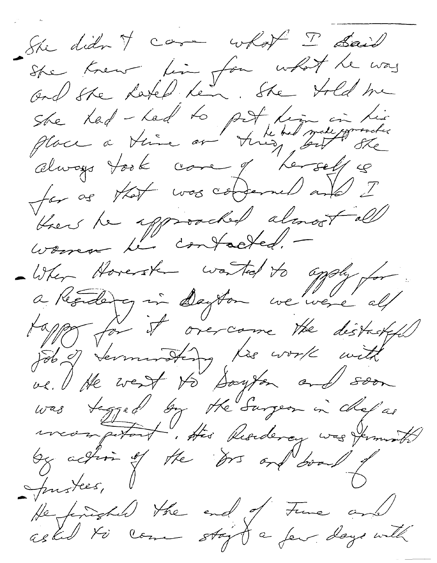She didn't care what I don't She knew fin for what he way and she hated her. She tild me she had - had to pet him in his Place à Veine on time, sur saleggemente always took come of "herself is for as that was conserved and I there he approached almost all women te contacted. -When Hoverste worted to aggly for tapper it overcome the disturbed job of terminating lie work with ve. He went to Sayton and soon was tagged by the Surgeon in chef as mongetant. His Residency was firming by action of the Drs on and board Justees, He finished the end of Fine and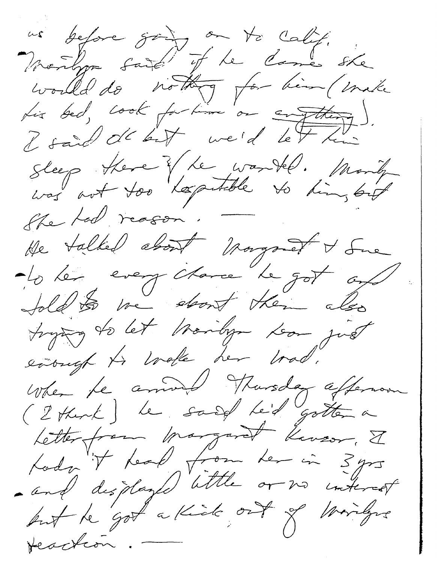us before going on to calif.<br>Would do nothing for him (mike I said de but we'd let him Steep Here Y Le wartel. Montg She tod reason. He talked about morgored & Sure alo les everythere le got out fold to we short them also trying to let troidyn toon just everyt to wake her trad. When the annual Thursday affermant Letterfrom margaret Kensor, I Lody it tead from ter in 3 yrs<br>and displayed little or no interest Headcon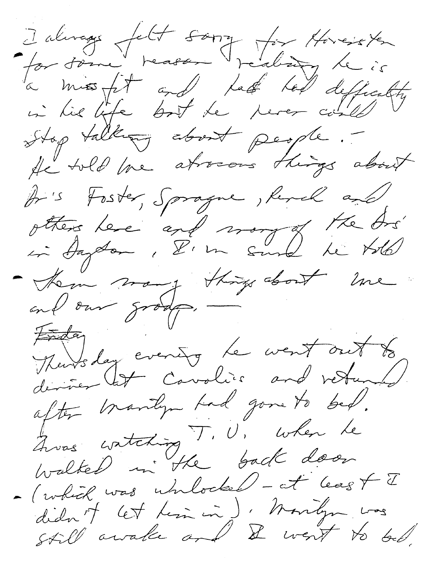Jalmage felt song for Horester à miss fit and last ted deficity Stop talking about people. Ar's Foster, Sprague, Renel and otters les "and mong of the Ars"<br>in Angdom, D'un sund he told - Hem many things about line Theursday evening le went out to deriver let covolier and vetunal. after manly tad gone to bed. Ques watching T. U. when he<br>walted in the back door - (which was whilocked - at least I didn't let tim in) : Montgom was<br>still awale and & went to be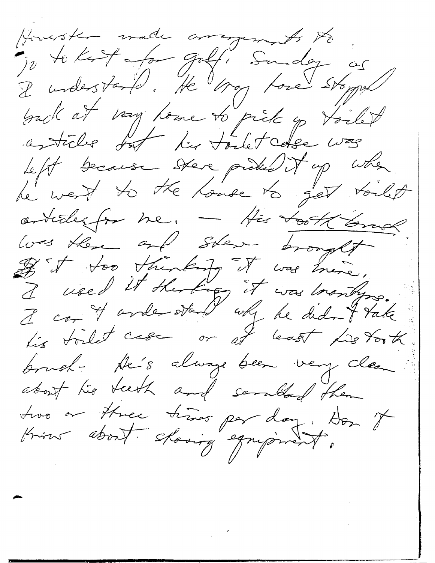Howester made arrangements to Jo te kest for gelf! Sunday as<br>I understand. He may tone storped asticles fort les todes was left because stere problem it up when articles for me. - His took long was there and ster brought If it too thinking it was mire, I used it shorting it was brandyne. Lis toilet case or at least Listorth brush- He's always been very clean about his teeth and seruted them tros or three times par day. Don it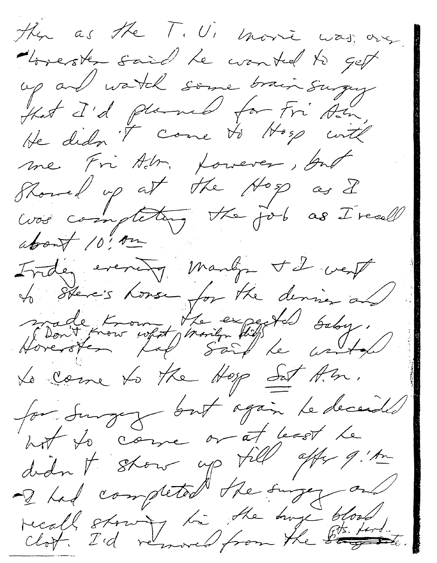the as the T. U. more was one. Korester said Le contrel to get up and watch some brain surgey Hat I'd planed for Fri Am.<br>He didn't come to Hosp with me Fri Altr. Lowever, but Showed up at the Hop as I was completing the fol as I reall about 10, on Inder evening many til verf to stere's house for the densier and Montfront west monitor til baby. Le come to the Hop Sat A.m. for surgez but again le decende hot to come or at least le didn't stow up till after 9.1m recall stowing to the trong blood,